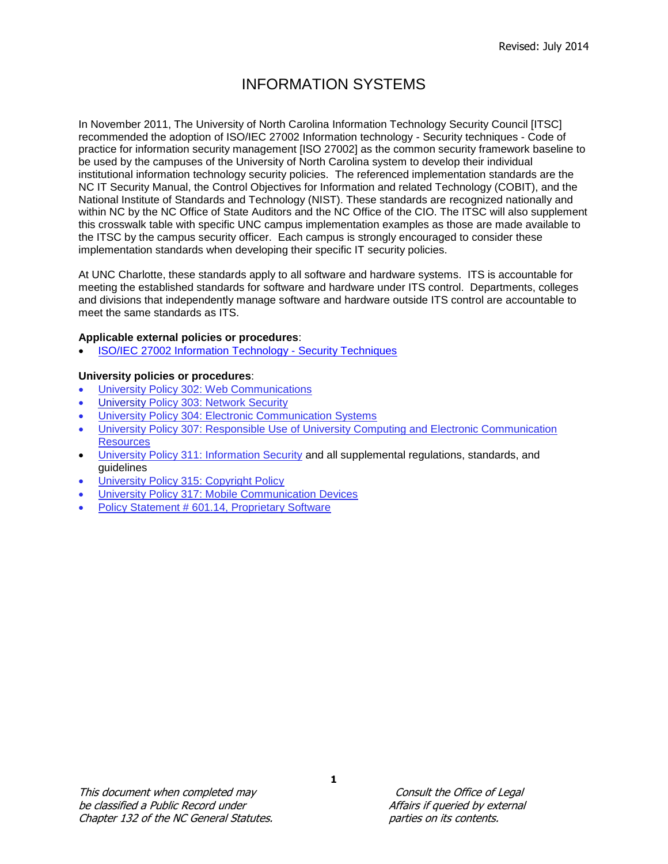## INFORMATION SYSTEMS

In November 2011, The University of North Carolina Information Technology Security Council [ITSC] recommended the adoption of ISO/IEC 27002 Information technology - Security techniques - Code of practice for information security management [ISO 27002] as the common security framework baseline to be used by the campuses of the University of North Carolina system to develop their individual institutional information technology security policies. The referenced implementation standards are the NC IT Security Manual, the Control Objectives for Information and related Technology (COBIT), and the National Institute of Standards and Technology (NIST). These standards are recognized nationally and within NC by the NC Office of State Auditors and the NC Office of the CIO. The ITSC will also supplement this crosswalk table with specific UNC campus implementation examples as those are made available to the ITSC by the campus security officer. Each campus is strongly encouraged to consider these implementation standards when developing their specific IT security policies.

At UNC Charlotte, these standards apply to all software and hardware systems. ITS is accountable for meeting the established standards for software and hardware under ITS control. Departments, colleges and divisions that independently manage software and hardware outside ITS control are accountable to meet the same standards as ITS.

## **Applicable external policies or procedures**:

[ISO/IEC 27002 Information Technology -](https://itservices.uncc.edu/sites/itservices.uncc.edu/files/media/Security/ISOIEC27002.pdf) Security Techniques

## **University policies or procedures**:

- [University Policy 302: Web Communications](http://legal.uncc.edu/policies/up-302)
- University [Policy 303: Network Security](http://legal.uncc.edu/policies/up-303)
- [University Policy 304: Electronic Communication Systems](http://legal.uncc.edu/policies/up-304)
- [University Policy 307: Responsible Use of University Computing and Electronic Communication](http://legal.uncc.edu/policies/up-307)  **[Resources](http://legal.uncc.edu/policies/up-307)**
- [University Policy 311: Information Security](http://legal.uncc.edu/policies/up-311) and all supplemental regulations, standards, and guidelines
- [University Policy 315: Copyright Policy](http://legal.uncc.edu/policies/up-315)
- [University Policy 317: Mobile Communication Devices](http://legal.uncc.edu/policies/up-317)
- [Policy Statement # 601.14, Proprietary Software](http://legal.uncc.edu/policies/up-601.14)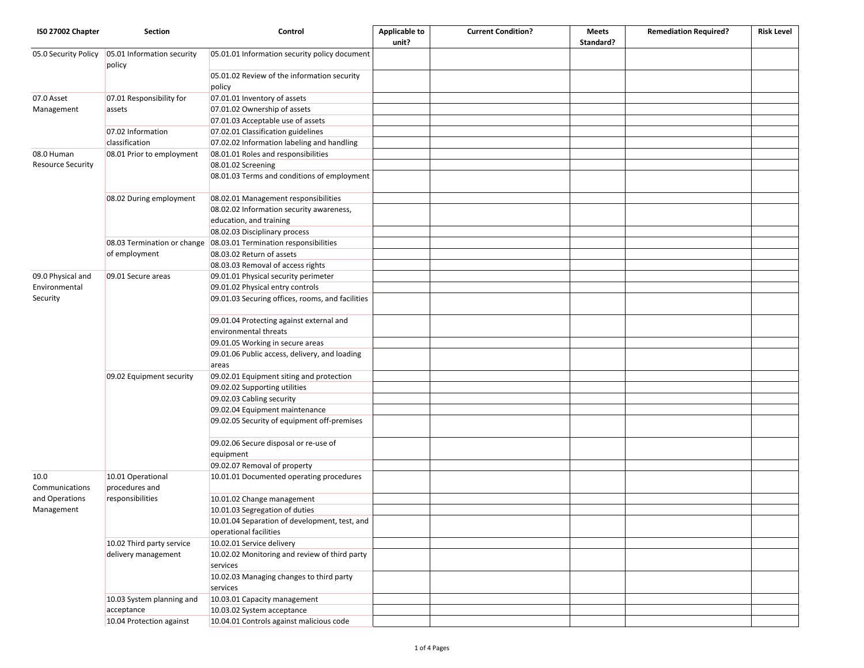| ISO 27002 Chapter        | <b>Section</b>                                          | Control                                                                 | <b>Applicable to</b><br>unit? | <b>Current Condition?</b> | <b>Meets</b><br>Standard? | <b>Remediation Required?</b> | <b>Risk Level</b> |
|--------------------------|---------------------------------------------------------|-------------------------------------------------------------------------|-------------------------------|---------------------------|---------------------------|------------------------------|-------------------|
| 05.0 Security Policy     | 05.01 Information security<br>policy                    | 05.01.01 Information security policy document                           |                               |                           |                           |                              |                   |
|                          |                                                         | 05.01.02 Review of the information security<br>policy                   |                               |                           |                           |                              |                   |
| 07.0 Asset               | 07.01 Responsibility for                                | 07.01.01 Inventory of assets                                            |                               |                           |                           |                              |                   |
| Management               | assets                                                  | 07.01.02 Ownership of assets                                            |                               |                           |                           |                              |                   |
|                          |                                                         | 07.01.03 Acceptable use of assets                                       |                               |                           |                           |                              |                   |
|                          | 07.02 Information                                       | 07.02.01 Classification guidelines                                      |                               |                           |                           |                              |                   |
|                          | classification                                          | 07.02.02 Information labeling and handling                              |                               |                           |                           |                              |                   |
| 08.0 Human               | 08.01 Prior to employment                               | 08.01.01 Roles and responsibilities                                     |                               |                           |                           |                              |                   |
| <b>Resource Security</b> |                                                         | 08.01.02 Screening                                                      |                               |                           |                           |                              |                   |
|                          |                                                         | 08.01.03 Terms and conditions of employment                             |                               |                           |                           |                              |                   |
|                          | 08.02 During employment                                 | 08.02.01 Management responsibilities                                    |                               |                           |                           |                              |                   |
|                          |                                                         | 08.02.02 Information security awareness,                                |                               |                           |                           |                              |                   |
|                          |                                                         | education, and training                                                 |                               |                           |                           |                              |                   |
|                          |                                                         | 08.02.03 Disciplinary process                                           |                               |                           |                           |                              |                   |
|                          | 08.03 Termination or change                             | 08.03.01 Termination responsibilities                                   |                               |                           |                           |                              |                   |
|                          | of employment                                           | 08.03.02 Return of assets                                               |                               |                           |                           |                              |                   |
|                          |                                                         | 08.03.03 Removal of access rights                                       |                               |                           |                           |                              |                   |
| 09.0 Physical and        | 09.01 Secure areas                                      | 09.01.01 Physical security perimeter                                    |                               |                           |                           |                              |                   |
| Environmental            |                                                         | 09.01.02 Physical entry controls                                        |                               |                           |                           |                              |                   |
| Security                 |                                                         | 09.01.03 Securing offices, rooms, and facilities                        |                               |                           |                           |                              |                   |
|                          |                                                         | 09.01.04 Protecting against external and<br>environmental threats       |                               |                           |                           |                              |                   |
|                          |                                                         | 09.01.05 Working in secure areas                                        |                               |                           |                           |                              |                   |
|                          |                                                         | 09.01.06 Public access, delivery, and loading<br>areas                  |                               |                           |                           |                              |                   |
|                          | 09.02 Equipment security                                | 09.02.01 Equipment siting and protection                                |                               |                           |                           |                              |                   |
|                          |                                                         | 09.02.02 Supporting utilities                                           |                               |                           |                           |                              |                   |
|                          |                                                         | 09.02.03 Cabling security                                               |                               |                           |                           |                              |                   |
|                          |                                                         | 09.02.04 Equipment maintenance                                          |                               |                           |                           |                              |                   |
|                          |                                                         | 09.02.05 Security of equipment off-premises                             |                               |                           |                           |                              |                   |
|                          |                                                         | 09.02.06 Secure disposal or re-use of<br>equipment                      |                               |                           |                           |                              |                   |
|                          |                                                         | 09.02.07 Removal of property                                            |                               |                           |                           |                              |                   |
| 10.0<br>Communications   | 10.01 Operational<br>procedures and<br>responsibilities | 10.01.01 Documented operating procedures                                |                               |                           |                           |                              |                   |
| and Operations           |                                                         | 10.01.02 Change management                                              |                               |                           |                           |                              |                   |
| Management               |                                                         | 10.01.03 Segregation of duties                                          |                               |                           |                           |                              |                   |
|                          |                                                         | 10.01.04 Separation of development, test, and<br>operational facilities |                               |                           |                           |                              |                   |
|                          | 10.02 Third party service                               | 10.02.01 Service delivery                                               |                               |                           |                           |                              |                   |
|                          | delivery management                                     | 10.02.02 Monitoring and review of third party<br>services               |                               |                           |                           |                              |                   |
|                          |                                                         | 10.02.03 Managing changes to third party<br>services                    |                               |                           |                           |                              |                   |
|                          | 10.03 System planning and                               | 10.03.01 Capacity management                                            |                               |                           |                           |                              |                   |
|                          | acceptance                                              | 10.03.02 System acceptance                                              |                               |                           |                           |                              |                   |
|                          | 10.04 Protection against                                | 10.04.01 Controls against malicious code                                |                               |                           |                           |                              |                   |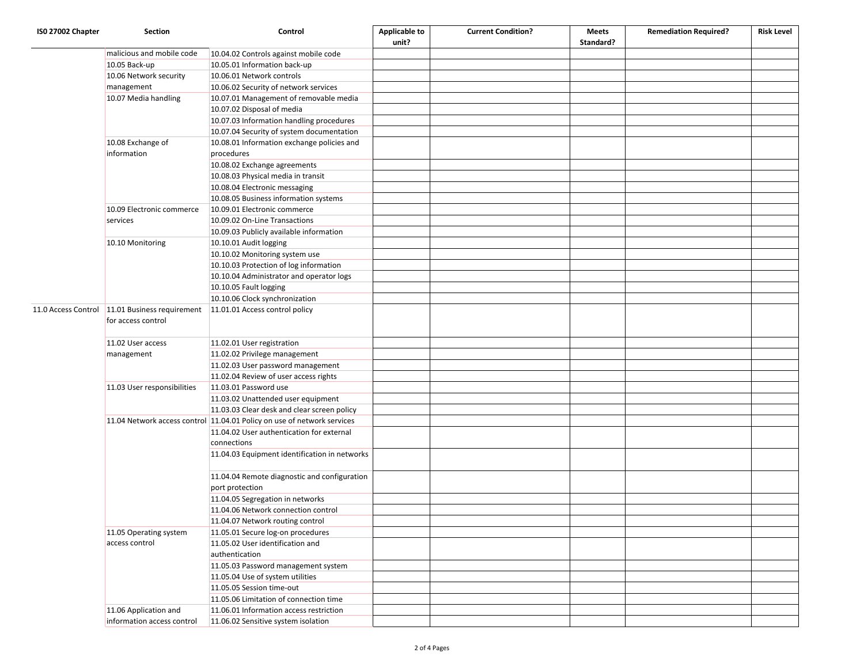| ISO 27002 Chapter | <b>Section</b>                                   | Control                                                                 | <b>Applicable to</b> | <b>Current Condition?</b> | Meets     | <b>Remediation Required?</b> | <b>Risk Level</b> |
|-------------------|--------------------------------------------------|-------------------------------------------------------------------------|----------------------|---------------------------|-----------|------------------------------|-------------------|
|                   |                                                  |                                                                         | unit?                |                           | Standard? |                              |                   |
|                   | malicious and mobile code                        | 10.04.02 Controls against mobile code                                   |                      |                           |           |                              |                   |
|                   | 10.05 Back-up                                    | 10.05.01 Information back-up                                            |                      |                           |           |                              |                   |
|                   | 10.06 Network security                           | 10.06.01 Network controls                                               |                      |                           |           |                              |                   |
|                   | management                                       | 10.06.02 Security of network services                                   |                      |                           |           |                              |                   |
|                   | 10.07 Media handling                             | 10.07.01 Management of removable media                                  |                      |                           |           |                              |                   |
|                   |                                                  | 10.07.02 Disposal of media                                              |                      |                           |           |                              |                   |
|                   |                                                  | 10.07.03 Information handling procedures                                |                      |                           |           |                              |                   |
|                   |                                                  | 10.07.04 Security of system documentation                               |                      |                           |           |                              |                   |
|                   | 10.08 Exchange of<br>information                 | 10.08.01 Information exchange policies and<br>procedures                |                      |                           |           |                              |                   |
|                   |                                                  | 10.08.02 Exchange agreements                                            |                      |                           |           |                              |                   |
|                   |                                                  | 10.08.03 Physical media in transit                                      |                      |                           |           |                              |                   |
|                   |                                                  | 10.08.04 Electronic messaging                                           |                      |                           |           |                              |                   |
|                   |                                                  | 10.08.05 Business information systems                                   |                      |                           |           |                              |                   |
|                   | 10.09 Electronic commerce                        | 10.09.01 Electronic commerce                                            |                      |                           |           |                              |                   |
|                   | services                                         | 10.09.02 On-Line Transactions                                           |                      |                           |           |                              |                   |
|                   |                                                  | 10.09.03 Publicly available information                                 |                      |                           |           |                              |                   |
|                   | 10.10 Monitoring                                 | 10.10.01 Audit logging                                                  |                      |                           |           |                              |                   |
|                   |                                                  | 10.10.02 Monitoring system use                                          |                      |                           |           |                              |                   |
|                   |                                                  | 10.10.03 Protection of log information                                  |                      |                           |           |                              |                   |
|                   |                                                  | 10.10.04 Administrator and operator logs                                |                      |                           |           |                              |                   |
|                   |                                                  | 10.10.05 Fault logging                                                  |                      |                           |           |                              |                   |
|                   |                                                  | 10.10.06 Clock synchronization                                          |                      |                           |           |                              |                   |
|                   | 11.0 Access Control   11.01 Business requirement | 11.01.01 Access control policy                                          |                      |                           |           |                              |                   |
|                   | for access control                               |                                                                         |                      |                           |           |                              |                   |
|                   | 11.02 User access                                | 11.02.01 User registration                                              |                      |                           |           |                              |                   |
|                   | management                                       | 11.02.02 Privilege management                                           |                      |                           |           |                              |                   |
|                   |                                                  | 11.02.03 User password management                                       |                      |                           |           |                              |                   |
|                   |                                                  | 11.02.04 Review of user access rights                                   |                      |                           |           |                              |                   |
|                   | 11.03 User responsibilities                      | 11.03.01 Password use                                                   |                      |                           |           |                              |                   |
|                   |                                                  | 11.03.02 Unattended user equipment                                      |                      |                           |           |                              |                   |
|                   |                                                  | 11.03.03 Clear desk and clear screen policy                             |                      |                           |           |                              |                   |
|                   |                                                  | 11.04 Network access control 11.04.01 Policy on use of network services |                      |                           |           |                              |                   |
|                   |                                                  | 11.04.02 User authentication for external                               |                      |                           |           |                              |                   |
|                   |                                                  | connections                                                             |                      |                           |           |                              |                   |
|                   |                                                  | 11.04.03 Equipment identification in networks                           |                      |                           |           |                              |                   |
|                   |                                                  | 11.04.04 Remote diagnostic and configuration<br>port protection         |                      |                           |           |                              |                   |
|                   |                                                  | 11.04.05 Segregation in networks                                        |                      |                           |           |                              |                   |
|                   |                                                  | 11.04.06 Network connection control                                     |                      |                           |           |                              |                   |
|                   |                                                  | 11.04.07 Network routing control                                        |                      |                           |           |                              |                   |
|                   | 11.05 Operating system                           | 11.05.01 Secure log-on procedures                                       |                      |                           |           |                              |                   |
|                   | access control                                   | 11.05.02 User identification and                                        |                      |                           |           |                              |                   |
|                   |                                                  | authentication                                                          |                      |                           |           |                              |                   |
|                   |                                                  | 11.05.03 Password management system                                     |                      |                           |           |                              |                   |
|                   |                                                  | 11.05.04 Use of system utilities                                        |                      |                           |           |                              |                   |
|                   |                                                  | 11.05.05 Session time-out                                               |                      |                           |           |                              |                   |
|                   |                                                  | 11.05.06 Limitation of connection time                                  |                      |                           |           |                              |                   |
|                   | 11.06 Application and                            | 11.06.01 Information access restriction                                 |                      |                           |           |                              |                   |
|                   | information access control                       | 11.06.02 Sensitive system isolation                                     |                      |                           |           |                              |                   |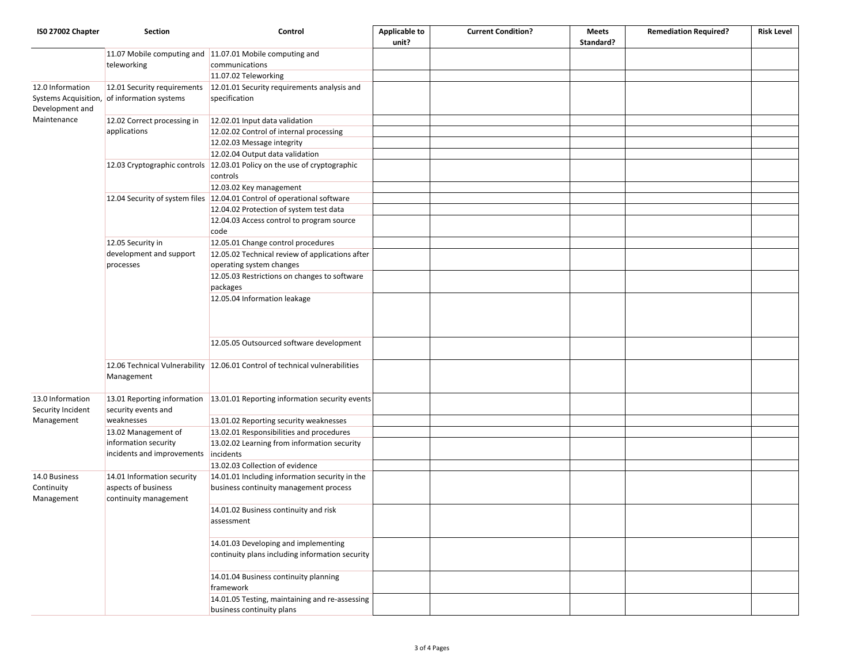| ISO 27002 Chapter               | Section                                            | Control                                                                              | <b>Applicable to</b> | <b>Current Condition?</b> | <b>Meets</b> | <b>Remediation Required?</b> | <b>Risk Level</b> |
|---------------------------------|----------------------------------------------------|--------------------------------------------------------------------------------------|----------------------|---------------------------|--------------|------------------------------|-------------------|
|                                 |                                                    |                                                                                      | unit?                |                           | Standard?    |                              |                   |
|                                 |                                                    | 11.07 Mobile computing and 11.07.01 Mobile computing and                             |                      |                           |              |                              |                   |
|                                 | teleworking                                        | communications                                                                       |                      |                           |              |                              |                   |
|                                 |                                                    | 11.07.02 Teleworking                                                                 |                      |                           |              |                              |                   |
| 12.0 Information                | 12.01 Security requirements                        | 12.01.01 Security requirements analysis and                                          |                      |                           |              |                              |                   |
| Systems Acquisition,            | of information systems                             | specification                                                                        |                      |                           |              |                              |                   |
| Development and                 |                                                    |                                                                                      |                      |                           |              |                              |                   |
| Maintenance                     | 12.02 Correct processing in<br>applications        | 12.02.01 Input data validation                                                       |                      |                           |              |                              |                   |
|                                 |                                                    | 12.02.02 Control of internal processing                                              |                      |                           |              |                              |                   |
|                                 |                                                    | 12.02.03 Message integrity                                                           |                      |                           |              |                              |                   |
|                                 |                                                    | 12.02.04 Output data validation                                                      |                      |                           |              |                              |                   |
|                                 |                                                    | 12.03 Cryptographic controls 12.03.01 Policy on the use of cryptographic<br>controls |                      |                           |              |                              |                   |
|                                 |                                                    | 12.03.02 Key management                                                              |                      |                           |              |                              |                   |
|                                 |                                                    | 12.04 Security of system files 12.04.01 Control of operational software              |                      |                           |              |                              |                   |
|                                 |                                                    | 12.04.02 Protection of system test data                                              |                      |                           |              |                              |                   |
|                                 |                                                    | 12.04.03 Access control to program source                                            |                      |                           |              |                              |                   |
|                                 |                                                    | code                                                                                 |                      |                           |              |                              |                   |
|                                 | 12.05 Security in                                  | 12.05.01 Change control procedures                                                   |                      |                           |              |                              |                   |
|                                 | development and support                            | 12.05.02 Technical review of applications after                                      |                      |                           |              |                              |                   |
|                                 | processes                                          | operating system changes                                                             |                      |                           |              |                              |                   |
|                                 |                                                    | 12.05.03 Restrictions on changes to software                                         |                      |                           |              |                              |                   |
|                                 |                                                    | packages                                                                             |                      |                           |              |                              |                   |
|                                 |                                                    | 12.05.04 Information leakage                                                         |                      |                           |              |                              |                   |
|                                 |                                                    |                                                                                      |                      |                           |              |                              |                   |
|                                 |                                                    |                                                                                      |                      |                           |              |                              |                   |
|                                 |                                                    |                                                                                      |                      |                           |              |                              |                   |
|                                 |                                                    | 12.05.05 Outsourced software development                                             |                      |                           |              |                              |                   |
|                                 |                                                    |                                                                                      |                      |                           |              |                              |                   |
|                                 |                                                    | 12.06 Technical Vulnerability 12.06.01 Control of technical vulnerabilities          |                      |                           |              |                              |                   |
|                                 | Management                                         |                                                                                      |                      |                           |              |                              |                   |
| 13.0 Information                |                                                    | 13.01 Reporting information 13.01.01 Reporting information security events           |                      |                           |              |                              |                   |
| Security Incident<br>Management | security events and                                |                                                                                      |                      |                           |              |                              |                   |
|                                 | weaknesses                                         | 13.01.02 Reporting security weaknesses                                               |                      |                           |              |                              |                   |
|                                 | 13.02 Management of                                | 13.02.01 Responsibilities and procedures                                             |                      |                           |              |                              |                   |
|                                 | information security<br>incidents and improvements | 13.02.02 Learning from information security                                          |                      |                           |              |                              |                   |
|                                 |                                                    | incidents                                                                            |                      |                           |              |                              |                   |
|                                 |                                                    | 13.02.03 Collection of evidence                                                      |                      |                           |              |                              |                   |
| 14.0 Business                   | 14.01 Information security                         | 14.01.01 Including information security in the                                       |                      |                           |              |                              |                   |
| Continuity                      | aspects of business<br>continuity management       | business continuity management process                                               |                      |                           |              |                              |                   |
| Management                      |                                                    |                                                                                      |                      |                           |              |                              |                   |
|                                 |                                                    | 14.01.02 Business continuity and risk                                                |                      |                           |              |                              |                   |
|                                 |                                                    | assessment                                                                           |                      |                           |              |                              |                   |
|                                 |                                                    |                                                                                      |                      |                           |              |                              |                   |
|                                 |                                                    | 14.01.03 Developing and implementing                                                 |                      |                           |              |                              |                   |
|                                 |                                                    | continuity plans including information security                                      |                      |                           |              |                              |                   |
|                                 |                                                    |                                                                                      |                      |                           |              |                              |                   |
|                                 |                                                    | 14.01.04 Business continuity planning                                                |                      |                           |              |                              |                   |
|                                 |                                                    | framework                                                                            |                      |                           |              |                              |                   |
|                                 |                                                    | 14.01.05 Testing, maintaining and re-assessing                                       |                      |                           |              |                              |                   |
|                                 |                                                    | business continuity plans                                                            |                      |                           |              |                              |                   |